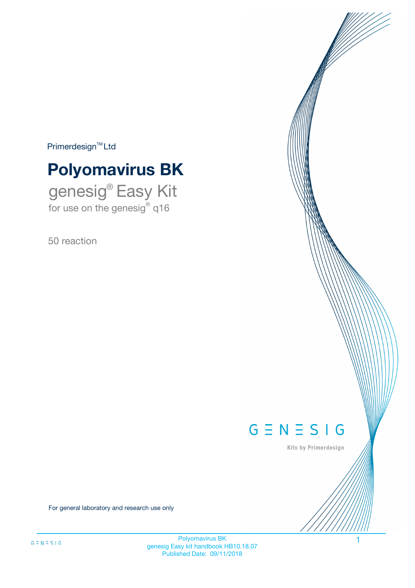$Primerdesign^{\text{TM}}Ltd$ 

# **Polyomavirus BK**

genesig® Easy Kit for use on the genesig® q16

50 reaction



Kits by Primerdesign

For general laboratory and research use only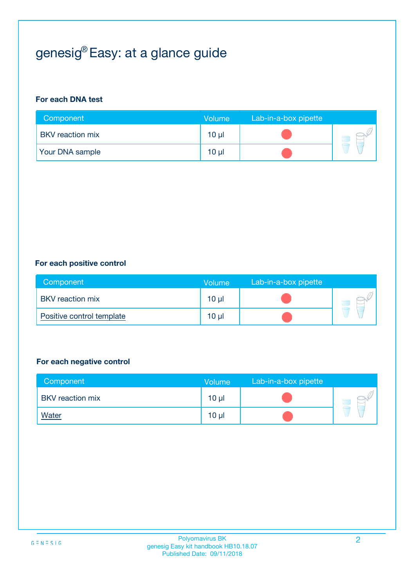# genesig® Easy: at a glance guide

#### **For each DNA test**

| Component               | <b>Volume</b>   | Lab-in-a-box pipette |  |
|-------------------------|-----------------|----------------------|--|
| <b>BKV</b> reaction mix | 10 µl           |                      |  |
| <b>Your DNA sample</b>  | 10 <sub>µ</sub> |                      |  |

#### **For each positive control**

| Component                 | Volume          | Lab-in-a-box pipette |  |
|---------------------------|-----------------|----------------------|--|
| <b>BKV</b> reaction mix   | 10 <sub>µ</sub> |                      |  |
| Positive control template | $10 \mu$        |                      |  |

#### **For each negative control**

| Component               | <b>Volume</b>   | Lab-in-a-box pipette |  |
|-------------------------|-----------------|----------------------|--|
| <b>BKV</b> reaction mix | 10 <sub>µ</sub> |                      |  |
| <u>Water</u>            | 10 <sub>µ</sub> |                      |  |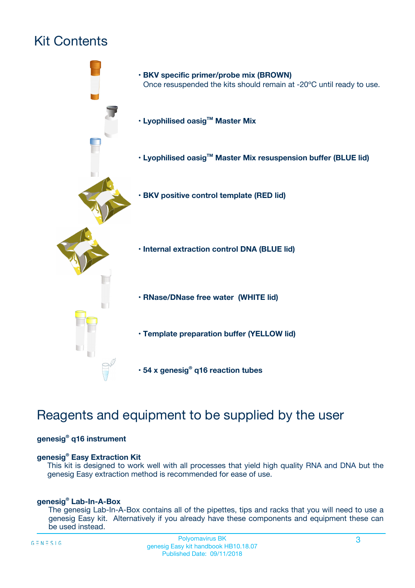# Kit Contents



## Reagents and equipment to be supplied by the user

#### **genesig® q16 instrument**

#### **genesig® Easy Extraction Kit**

This kit is designed to work well with all processes that yield high quality RNA and DNA but the genesig Easy extraction method is recommended for ease of use.

#### **genesig® Lab-In-A-Box**

The genesig Lab-In-A-Box contains all of the pipettes, tips and racks that you will need to use a genesig Easy kit. Alternatively if you already have these components and equipment these can be used instead.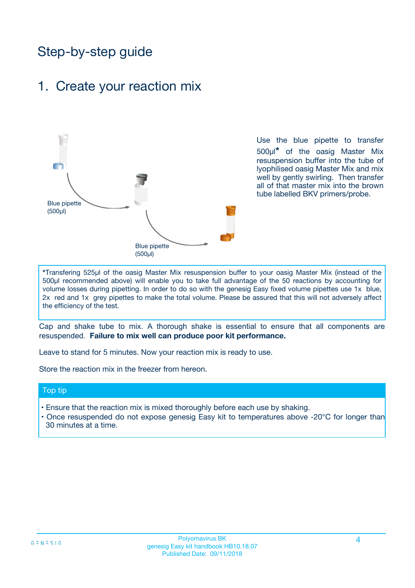## Step-by-step guide

### 1. Create your reaction mix



Use the blue pipette to transfer 500µl**\*** of the oasig Master Mix resuspension buffer into the tube of lyophilised oasig Master Mix and mix well by gently swirling. Then transfer all of that master mix into the brown tube labelled BKV primers/probe.

**\***Transfering 525µl of the oasig Master Mix resuspension buffer to your oasig Master Mix (instead of the 500µl recommended above) will enable you to take full advantage of the 50 reactions by accounting for volume losses during pipetting. In order to do so with the genesig Easy fixed volume pipettes use 1x blue, 2x red and 1x grey pipettes to make the total volume. Please be assured that this will not adversely affect the efficiency of the test.

Cap and shake tube to mix. A thorough shake is essential to ensure that all components are resuspended. **Failure to mix well can produce poor kit performance.**

Leave to stand for 5 minutes. Now your reaction mix is ready to use.

Store the reaction mix in the freezer from hereon.

#### Top tip

- Ensure that the reaction mix is mixed thoroughly before each use by shaking.
- **•** Once resuspended do not expose genesig Easy kit to temperatures above -20°C for longer than 30 minutes at a time.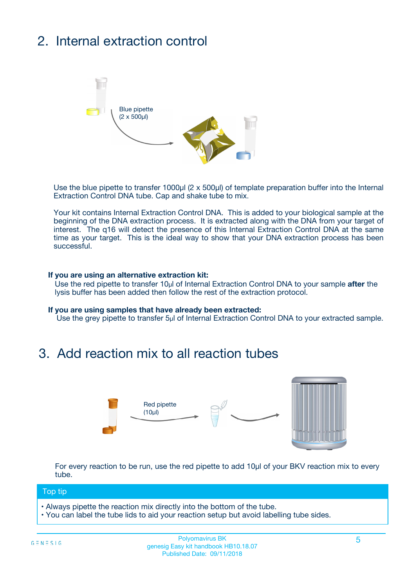# 2. Internal extraction control



Use the blue pipette to transfer 1000µl (2 x 500µl) of template preparation buffer into the Internal Extraction Control DNA tube. Cap and shake tube to mix.

Your kit contains Internal Extraction Control DNA. This is added to your biological sample at the beginning of the DNA extraction process. It is extracted along with the DNA from your target of interest. The q16 will detect the presence of this Internal Extraction Control DNA at the same time as your target. This is the ideal way to show that your DNA extraction process has been successful.

#### **If you are using an alternative extraction kit:**

Use the red pipette to transfer 10µl of Internal Extraction Control DNA to your sample **after** the lysis buffer has been added then follow the rest of the extraction protocol.

#### **If you are using samples that have already been extracted:**

Use the grey pipette to transfer 5µl of Internal Extraction Control DNA to your extracted sample.

### 3. Add reaction mix to all reaction tubes



For every reaction to be run, use the red pipette to add 10µl of your BKV reaction mix to every tube.

#### Top tip

- Always pipette the reaction mix directly into the bottom of the tube.
- You can label the tube lids to aid your reaction setup but avoid labelling tube sides.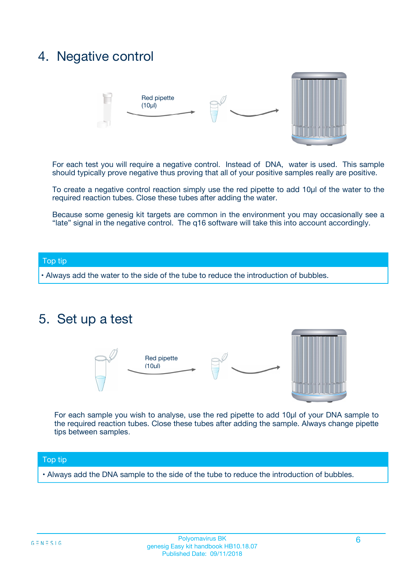## 4. Negative control



For each test you will require a negative control. Instead of DNA, water is used. This sample should typically prove negative thus proving that all of your positive samples really are positive.

To create a negative control reaction simply use the red pipette to add 10µl of the water to the required reaction tubes. Close these tubes after adding the water.

Because some genesig kit targets are common in the environment you may occasionally see a "late" signal in the negative control. The q16 software will take this into account accordingly.

#### Top tip

**•** Always add the water to the side of the tube to reduce the introduction of bubbles.

### 5. Set up a test



For each sample you wish to analyse, use the red pipette to add 10µl of your DNA sample to the required reaction tubes. Close these tubes after adding the sample. Always change pipette tips between samples.

#### Top tip

**•** Always add the DNA sample to the side of the tube to reduce the introduction of bubbles.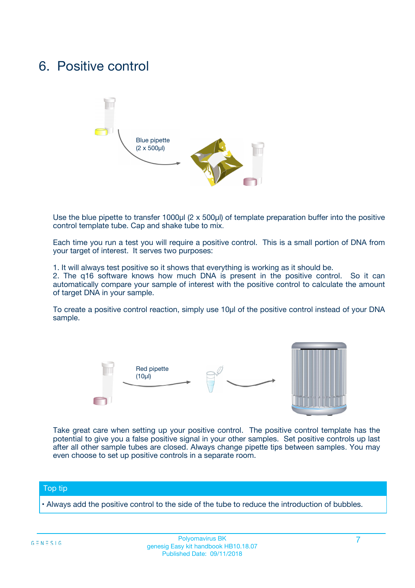## 6. Positive control



Use the blue pipette to transfer 1000µl (2 x 500µl) of template preparation buffer into the positive control template tube. Cap and shake tube to mix.

Each time you run a test you will require a positive control. This is a small portion of DNA from your target of interest. It serves two purposes:

1. It will always test positive so it shows that everything is working as it should be.

2. The q16 software knows how much DNA is present in the positive control. So it can automatically compare your sample of interest with the positive control to calculate the amount of target DNA in your sample.

To create a positive control reaction, simply use 10µl of the positive control instead of your DNA sample.



Take great care when setting up your positive control. The positive control template has the potential to give you a false positive signal in your other samples. Set positive controls up last after all other sample tubes are closed. Always change pipette tips between samples. You may even choose to set up positive controls in a separate room.

#### Top tip

**•** Always add the positive control to the side of the tube to reduce the introduction of bubbles.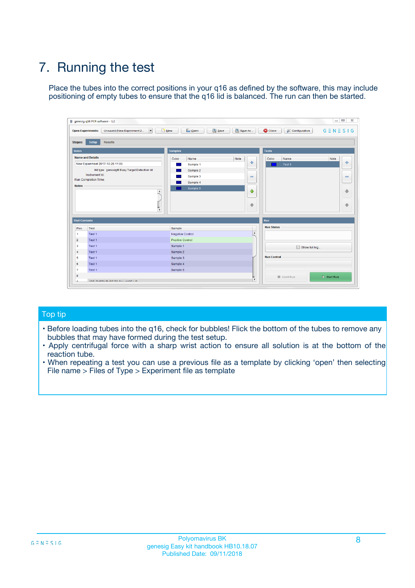# 7. Running the test

Place the tubes into the correct positions in your q16 as defined by the software, this may include positioning of empty tubes to ensure that the q16 lid is balanced. The run can then be started.

| genesig q16 PCR software - 1.2                                               |                                     | $\Box$                                                                                  |
|------------------------------------------------------------------------------|-------------------------------------|-----------------------------------------------------------------------------------------|
| Unsaved (New Experiment 2<br>$\vert \cdot \vert$<br><b>Open Experiments:</b> | <b>D</b> Open<br>Save<br>$\Box$ New | Save As<br><b>C</b> Close<br>$G \equiv N \equiv S \mid G$<br><b>&amp; Configuration</b> |
| Setup<br><b>Results</b><br><b>Stages:</b>                                    |                                     |                                                                                         |
| <b>Notes</b>                                                                 | Samples                             | <b>Tests</b>                                                                            |
| <b>Name and Details</b>                                                      | Color<br>Name                       | Note<br>Color<br>Note<br>Name                                                           |
| New Experiment 2017-10-26 11:06                                              | Sample 1                            | 条<br>علي<br>Test 1                                                                      |
| Kit type: genesig® Easy Target Detection kit                                 | Sample 2                            |                                                                                         |
| Instrument Id.:                                                              | Sample 3                            | $\qquad \qquad \blacksquare$<br>$\qquad \qquad \blacksquare$                            |
| Run Completion Time:                                                         | Sample 4                            |                                                                                         |
| <b>Notes</b>                                                                 | Sample 5<br>A<br>v                  | $\triangle$<br>4<br>$\oplus$<br>₩                                                       |
| <b>Well Contents</b>                                                         |                                     | <b>Run</b>                                                                              |
| Pos.<br>Test                                                                 | Sample                              | <b>Run Status</b>                                                                       |
| Test 1<br>-1                                                                 | <b>Negative Control</b>             | $\blacktriangle$                                                                        |
| $\overline{2}$<br>Test 1                                                     | <b>Positive Control</b>             |                                                                                         |
| $\overline{\mathbf{3}}$<br>Test 1                                            | Sample 1                            | Show full log                                                                           |
| Test 1<br>$\overline{4}$                                                     | Sample 2                            |                                                                                         |
| 5<br>Test 1                                                                  | Sample 3                            | <b>Run Control</b>                                                                      |
| 6<br>Test 1                                                                  | Sample 4                            |                                                                                         |
| $\overline{7}$<br>Test 1                                                     | Sample 5                            |                                                                                         |
| 8                                                                            |                                     | $\triangleright$ Start Run<br>Abort Run                                                 |
| <b>JOD FURTY TUDE TO BUILDED IN</b>                                          |                                     | $\overline{\mathbf{v}}$                                                                 |

#### Top tip

- Before loading tubes into the q16, check for bubbles! Flick the bottom of the tubes to remove any bubbles that may have formed during the test setup.
- Apply centrifugal force with a sharp wrist action to ensure all solution is at the bottom of the reaction tube.
- When repeating a test you can use a previous file as a template by clicking 'open' then selecting File name > Files of Type > Experiment file as template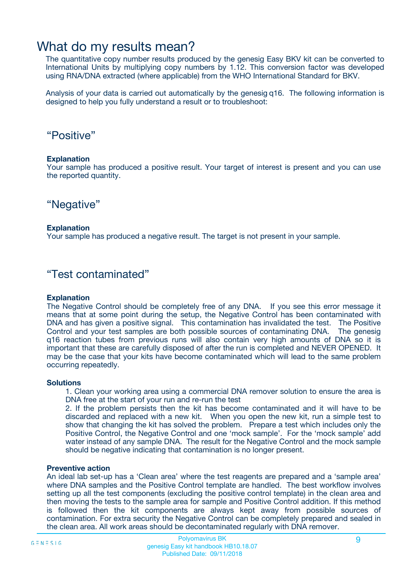### What do my results mean?

The quantitative copy number results produced by the genesig Easy BKV kit can be converted to International Units by multiplying copy numbers by 1.12. This conversion factor was developed using RNA/DNA extracted (where applicable) from the WHO International Standard for BKV.

Analysis of your data is carried out automatically by the genesig q16. The following information is designed to help you fully understand a result or to troubleshoot:

### "Positive"

#### **Explanation**

Your sample has produced a positive result. Your target of interest is present and you can use the reported quantity.

"Negative"

#### **Explanation**

Your sample has produced a negative result. The target is not present in your sample.

### "Test contaminated"

#### **Explanation**

The Negative Control should be completely free of any DNA. If you see this error message it means that at some point during the setup, the Negative Control has been contaminated with DNA and has given a positive signal. This contamination has invalidated the test. The Positive Control and your test samples are both possible sources of contaminating DNA. The genesig q16 reaction tubes from previous runs will also contain very high amounts of DNA so it is important that these are carefully disposed of after the run is completed and NEVER OPENED. It may be the case that your kits have become contaminated which will lead to the same problem occurring repeatedly.

#### **Solutions**

1. Clean your working area using a commercial DNA remover solution to ensure the area is DNA free at the start of your run and re-run the test

2. If the problem persists then the kit has become contaminated and it will have to be discarded and replaced with a new kit. When you open the new kit, run a simple test to show that changing the kit has solved the problem. Prepare a test which includes only the Positive Control, the Negative Control and one 'mock sample'. For the 'mock sample' add water instead of any sample DNA. The result for the Negative Control and the mock sample should be negative indicating that contamination is no longer present.

#### **Preventive action**

An ideal lab set-up has a 'Clean area' where the test reagents are prepared and a 'sample area' where DNA samples and the Positive Control template are handled. The best workflow involves setting up all the test components (excluding the positive control template) in the clean area and then moving the tests to the sample area for sample and Positive Control addition. If this method is followed then the kit components are always kept away from possible sources of contamination. For extra security the Negative Control can be completely prepared and sealed in the clean area. All work areas should be decontaminated regularly with DNA remover.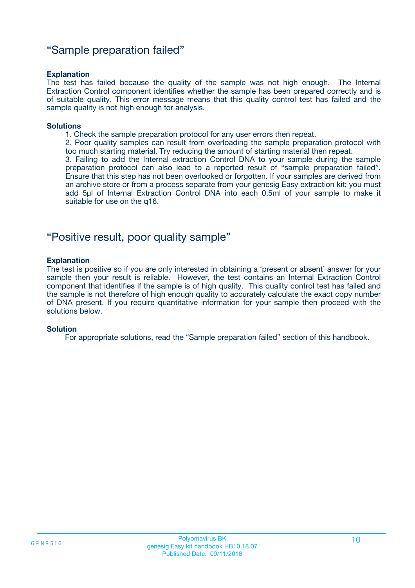### "Sample preparation failed"

#### **Explanation**

The test has failed because the quality of the sample was not high enough. The Internal Extraction Control component identifies whether the sample has been prepared correctly and is of suitable quality. This error message means that this quality control test has failed and the sample quality is not high enough for analysis.

#### **Solutions**

- 1. Check the sample preparation protocol for any user errors then repeat.
- 2. Poor quality samples can result from overloading the sample preparation protocol with too much starting material. Try reducing the amount of starting material then repeat.

3. Failing to add the Internal extraction Control DNA to your sample during the sample preparation protocol can also lead to a reported result of "sample preparation failed". Ensure that this step has not been overlooked or forgotten. If your samples are derived from an archive store or from a process separate from your genesig Easy extraction kit; you must add 5µl of Internal Extraction Control DNA into each 0.5ml of your sample to make it suitable for use on the q16.

### "Positive result, poor quality sample"

#### **Explanation**

The test is positive so if you are only interested in obtaining a 'present or absent' answer for your sample then your result is reliable. However, the test contains an Internal Extraction Control component that identifies if the sample is of high quality. This quality control test has failed and the sample is not therefore of high enough quality to accurately calculate the exact copy number of DNA present. If you require quantitative information for your sample then proceed with the solutions below.

#### **Solution**

For appropriate solutions, read the "Sample preparation failed" section of this handbook.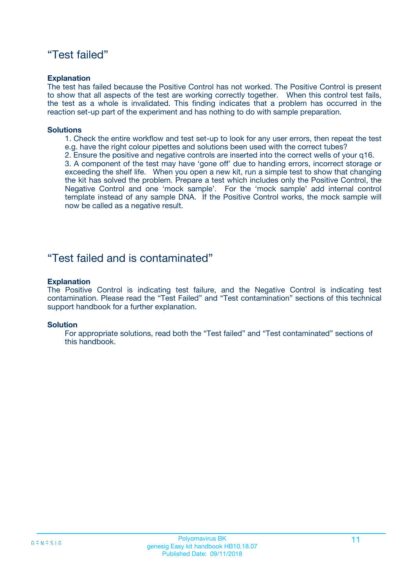### "Test failed"

#### **Explanation**

The test has failed because the Positive Control has not worked. The Positive Control is present to show that all aspects of the test are working correctly together. When this control test fails, the test as a whole is invalidated. This finding indicates that a problem has occurred in the reaction set-up part of the experiment and has nothing to do with sample preparation.

#### **Solutions**

- 1. Check the entire workflow and test set-up to look for any user errors, then repeat the test e.g. have the right colour pipettes and solutions been used with the correct tubes?
- 2. Ensure the positive and negative controls are inserted into the correct wells of your q16.

3. A component of the test may have 'gone off' due to handing errors, incorrect storage or exceeding the shelf life. When you open a new kit, run a simple test to show that changing the kit has solved the problem. Prepare a test which includes only the Positive Control, the Negative Control and one 'mock sample'. For the 'mock sample' add internal control template instead of any sample DNA. If the Positive Control works, the mock sample will now be called as a negative result.

### "Test failed and is contaminated"

#### **Explanation**

The Positive Control is indicating test failure, and the Negative Control is indicating test contamination. Please read the "Test Failed" and "Test contamination" sections of this technical support handbook for a further explanation.

#### **Solution**

For appropriate solutions, read both the "Test failed" and "Test contaminated" sections of this handbook.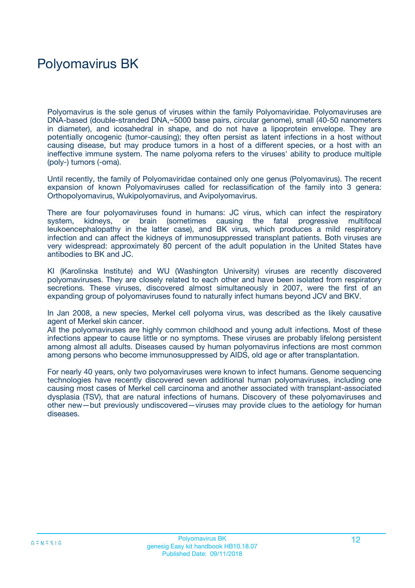# Polyomavirus BK

Polyomavirus is the sole genus of viruses within the family Polyomaviridae. Polyomaviruses are DNA-based (double-stranded DNA,~5000 base pairs, circular genome), small (40-50 nanometers in diameter), and icosahedral in shape, and do not have a lipoprotein envelope. They are potentially oncogenic (tumor-causing); they often persist as latent infections in a host without causing disease, but may produce tumors in a host of a different species, or a host with an ineffective immune system. The name polyoma refers to the viruses' ability to produce multiple (poly-) tumors (-oma).

Until recently, the family of Polyomaviridae contained only one genus (Polyomavirus). The recent expansion of known Polyomaviruses called for reclassification of the family into 3 genera: Orthopolyomavirus, Wukipolyomavirus, and Avipolyomavirus.

There are four polyomaviruses found in humans: JC virus, which can infect the respiratory system, kidneys, or brain (sometimes causing the fatal progressive multifocal leukoencephalopathy in the latter case), and BK virus, which produces a mild respiratory infection and can affect the kidneys of immunosuppressed transplant patients. Both viruses are very widespread: approximately 80 percent of the adult population in the United States have antibodies to BK and JC.

KI (Karolinska Institute) and WU (Washington University) viruses are recently discovered polyomaviruses. They are closely related to each other and have been isolated from respiratory secretions. These viruses, discovered almost simultaneously in 2007, were the first of an expanding group of polyomaviruses found to naturally infect humans beyond JCV and BKV.

In Jan 2008, a new species, Merkel cell polyoma virus, was described as the likely causative agent of Merkel skin cancer.

All the polyomaviruses are highly common childhood and young adult infections. Most of these infections appear to cause little or no symptoms. These viruses are probably lifelong persistent among almost all adults. Diseases caused by human polyomavirus infections are most common among persons who become immunosuppressed by AIDS, old age or after transplantation.

For nearly 40 years, only two polyomaviruses were known to infect humans. Genome sequencing technologies have recently discovered seven additional human polyomaviruses, including one causing most cases of Merkel cell carcinoma and another associated with transplant-associated dysplasia (TSV), that are natural infections of humans. Discovery of these polyomaviruses and other new—but previously undiscovered—viruses may provide clues to the aetiology for human diseases.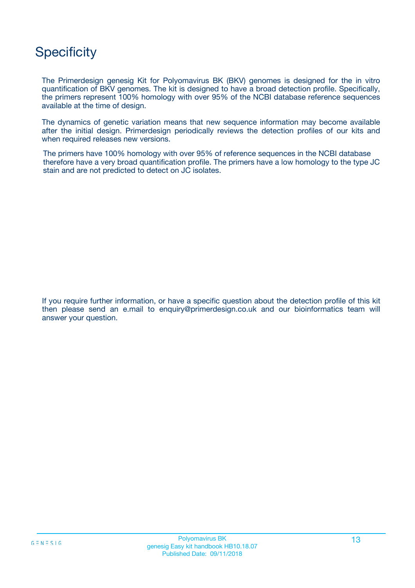## **Specificity**

The Primerdesign genesig Kit for Polyomavirus BK (BKV) genomes is designed for the in vitro quantification of BKV genomes. The kit is designed to have a broad detection profile. Specifically, the primers represent 100% homology with over 95% of the NCBI database reference sequences available at the time of design.

The dynamics of genetic variation means that new sequence information may become available after the initial design. Primerdesign periodically reviews the detection profiles of our kits and when required releases new versions.

The primers have 100% homology with over 95% of reference sequences in the NCBI database therefore have a very broad quantification profile. The primers have a low homology to the type JC stain and are not predicted to detect on JC isolates.

If you require further information, or have a specific question about the detection profile of this kit then please send an e.mail to enquiry@primerdesign.co.uk and our bioinformatics team will answer your question.